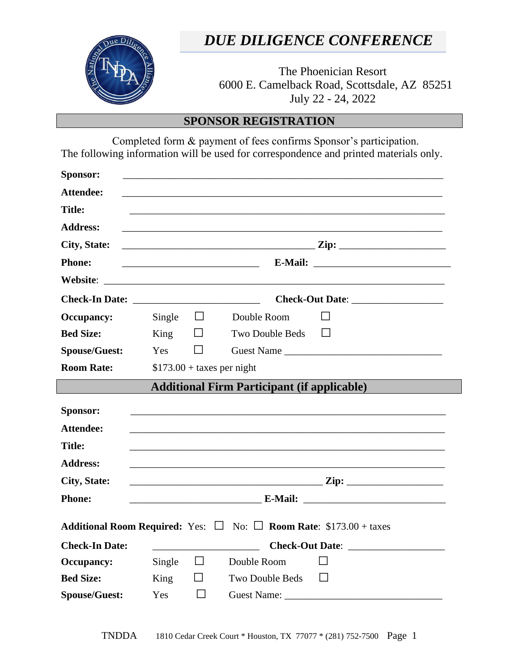

l

# *DUE DILIGENCE CONFERENCE*

The Phoenician Resort 6000 E. Camelback Road, Scottsdale, AZ 85251 July 22 - 24, 2022

## **SPONSOR REGISTRATION**

 Completed form & payment of fees confirms Sponsor's participation. The following information will be used for correspondence and printed materials only.

| Sponsor:                                                                                   |                                                |         |                                                                                                                                                                                                                                |  |  |
|--------------------------------------------------------------------------------------------|------------------------------------------------|---------|--------------------------------------------------------------------------------------------------------------------------------------------------------------------------------------------------------------------------------|--|--|
| <b>Attendee:</b>                                                                           |                                                |         |                                                                                                                                                                                                                                |  |  |
| <b>Title:</b>                                                                              |                                                |         |                                                                                                                                                                                                                                |  |  |
| <b>Address:</b>                                                                            |                                                |         |                                                                                                                                                                                                                                |  |  |
| City, State:                                                                               |                                                |         |                                                                                                                                                                                                                                |  |  |
| <b>Phone:</b>                                                                              |                                                |         |                                                                                                                                                                                                                                |  |  |
|                                                                                            |                                                |         |                                                                                                                                                                                                                                |  |  |
|                                                                                            | Check-Out Date: <u>_______________________</u> |         |                                                                                                                                                                                                                                |  |  |
| <b>Occupancy:</b>                                                                          | Single $\square$                               |         | Double Room                                                                                                                                                                                                                    |  |  |
| <b>Bed Size:</b>                                                                           | King                                           | $\Box$  | Two Double Beds<br>$\mathbf{I}$                                                                                                                                                                                                |  |  |
| <b>Spouse/Guest:</b>                                                                       | Yes                                            | $\perp$ |                                                                                                                                                                                                                                |  |  |
| <b>Room Rate:</b>                                                                          | $$173.00 + \text{taxes per night}$             |         |                                                                                                                                                                                                                                |  |  |
| <b>Additional Firm Participant (if applicable)</b>                                         |                                                |         |                                                                                                                                                                                                                                |  |  |
| Sponsor:                                                                                   |                                                |         |                                                                                                                                                                                                                                |  |  |
| <b>Attendee:</b>                                                                           |                                                |         |                                                                                                                                                                                                                                |  |  |
| <b>Title:</b>                                                                              |                                                |         |                                                                                                                                                                                                                                |  |  |
| <b>Address:</b>                                                                            |                                                |         |                                                                                                                                                                                                                                |  |  |
| <b>City, State:</b>                                                                        | $\mathbf{Zip}$ : $\blacksquare$                |         |                                                                                                                                                                                                                                |  |  |
| <b>Phone:</b>                                                                              |                                                |         |                                                                                                                                                                                                                                |  |  |
|                                                                                            |                                                |         |                                                                                                                                                                                                                                |  |  |
| <b>Additional Room Required:</b> Yes: $\Box$ No: $\Box$ <b>Room Rate:</b> \$173.00 + taxes |                                                |         |                                                                                                                                                                                                                                |  |  |
| <b>Check-In Date:</b>                                                                      |                                                |         |                                                                                                                                                                                                                                |  |  |
| <b>Occupancy:</b>                                                                          | Single                                         | $\Box$  | Double Room                                                                                                                                                                                                                    |  |  |
| <b>Bed Size:</b>                                                                           | King                                           | ⊔       | Two Double Beds<br>$\perp$                                                                                                                                                                                                     |  |  |
| <b>Spouse/Guest:</b>                                                                       | Yes                                            |         | Guest Name: Campaign and Campaign and Campaign and Campaign and Campaign and Campaign and Campaign and Campaign and Campaign and Campaign and Campaign and Campaign and Campaign and Campaign and Campaign and Campaign and Ca |  |  |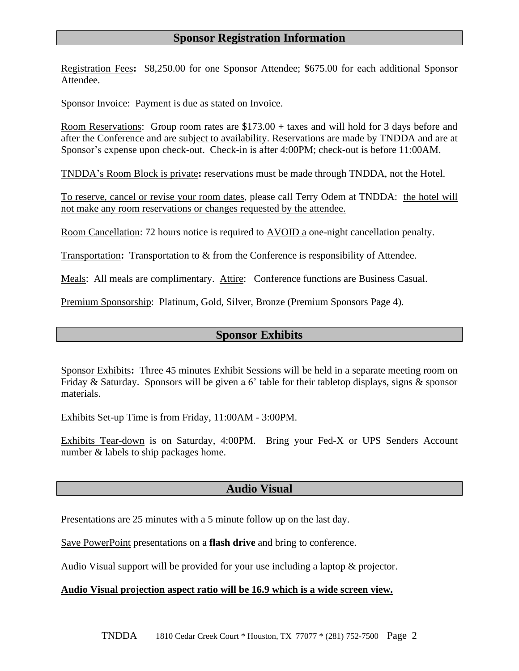### **Sponsor Registration Information**

Registration Fees**:** \$8,250.00 for one Sponsor Attendee; \$675.00 for each additional Sponsor Attendee.

Sponsor Invoice: Payment is due as stated on Invoice.

l

Room Reservations: Group room rates are \$173.00 + taxes and will hold for 3 days before and after the Conference and are subject to availability. Reservations are made by TNDDA and are at Sponsor's expense upon check-out. Check-in is after 4:00PM; check-out is before 11:00AM.

TNDDA's Room Block is private**:** reservations must be made through TNDDA, not the Hotel.

To reserve, cancel or revise your room dates, please call Terry Odem at TNDDA: the hotel will not make any room reservations or changes requested by the attendee.

Room Cancellation: 72 hours notice is required to AVOID a one-night cancellation penalty.

Transportation**:** Transportation to & from the Conference is responsibility of Attendee.

Meals: All meals are complimentary. Attire: Conference functions are Business Casual.

Premium Sponsorship: Platinum, Gold, Silver, Bronze (Premium Sponsors Page 4).

### **Sponsor Exhibits**

Sponsor Exhibits**:** Three 45 minutes Exhibit Sessions will be held in a separate meeting room on Friday & Saturday. Sponsors will be given a 6' table for their tabletop displays, signs & sponsor materials.

Exhibits Set-up Time is from Friday, 11:00AM - 3:00PM.

Exhibits Tear-down is on Saturday, 4:00PM. Bring your Fed-X or UPS Senders Account number & labels to ship packages home.

### **Audio Visual**

Presentations are 25 minutes with a 5 minute follow up on the last day.

Save PowerPoint presentations on a **flash drive** and bring to conference.

Audio Visual support will be provided for your use including a laptop & projector.

#### **Audio Visual projection aspect ratio will be 16.9 which is a wide screen view.**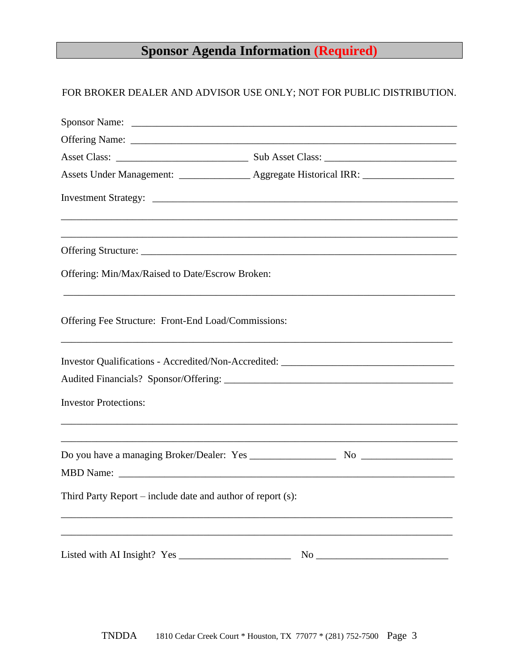# **Sponsor Agenda Information (Required)**

# FOR BROKER DEALER AND ADVISOR USE ONLY; NOT FOR PUBLIC DISTRIBUTION.

| Sponsor Name:                                               |                                                                                   |  |
|-------------------------------------------------------------|-----------------------------------------------------------------------------------|--|
|                                                             |                                                                                   |  |
|                                                             | Assets Under Management: ________________ Aggregate Historical IRR: _____________ |  |
|                                                             |                                                                                   |  |
|                                                             |                                                                                   |  |
|                                                             |                                                                                   |  |
| Offering: Min/Max/Raised to Date/Escrow Broken:             |                                                                                   |  |
| Offering Fee Structure: Front-End Load/Commissions:         |                                                                                   |  |
|                                                             | Investor Qualifications - Accredited/Non-Accredited: ____________________________ |  |
| <b>Investor Protections:</b>                                |                                                                                   |  |
|                                                             |                                                                                   |  |
| Third Party Report – include date and author of report (s): |                                                                                   |  |
|                                                             |                                                                                   |  |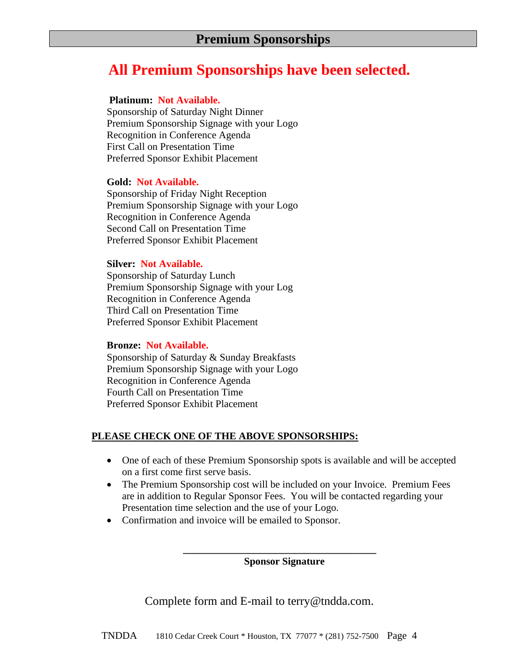# **All Premium Sponsorships have been selected.**

### **Platinum: Not Available.**

Sponsorship of Saturday Night Dinner Premium Sponsorship Signage with your Logo Recognition in Conference Agenda First Call on Presentation Time Preferred Sponsor Exhibit Placement

### **Gold: Not Available.**

Sponsorship of Friday Night Reception Premium Sponsorship Signage with your Logo Recognition in Conference Agenda Second Call on Presentation Time Preferred Sponsor Exhibit Placement

### **Silver: Not Available.**

Sponsorship of Saturday Lunch Premium Sponsorship Signage with your Log Recognition in Conference Agenda Third Call on Presentation Time Preferred Sponsor Exhibit Placement

### **Bronze: Not Available.**

Sponsorship of Saturday & Sunday Breakfasts Premium Sponsorship Signage with your Logo Recognition in Conference Agenda Fourth Call on Presentation Time Preferred Sponsor Exhibit Placement

### **PLEASE CHECK ONE OF THE ABOVE SPONSORSHIPS:**

- One of each of these Premium Sponsorship spots is available and will be accepted on a first come first serve basis.
- The Premium Sponsorship cost will be included on your Invoice. Premium Fees are in addition to Regular Sponsor Fees. You will be contacted regarding your Presentation time selection and the use of your Logo.
- Confirmation and invoice will be emailed to Sponsor.

**\_\_\_\_\_\_\_\_\_\_\_\_\_\_\_\_\_\_\_\_\_\_\_\_\_\_\_\_\_\_\_\_\_\_\_\_\_\_ Sponsor Signature**

Complete form and E-mail to terry@tndda.com.